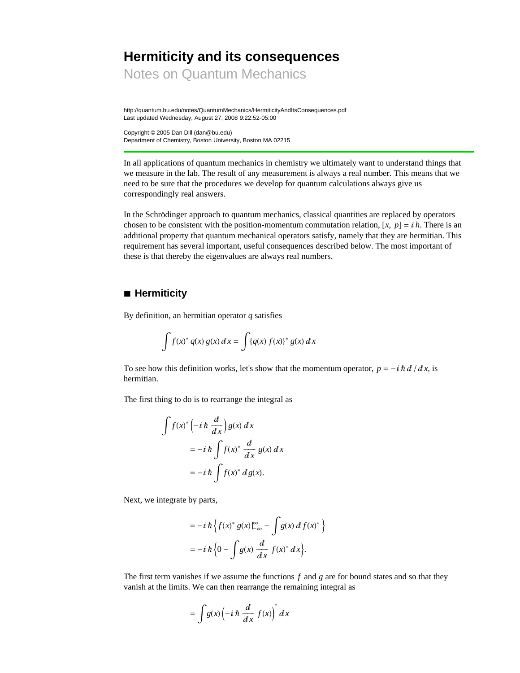# **Hermiticity and its consequences**

Notes on Quantum Mechanics

http://quantum.bu.edu/notes/QuantumMechanics/HermiticityAndItsConsequences.pdf Last updated Wednesday, August 27, 2008 9:22:52-05:00

Copyright © 2005 Dan Dill (dan@bu.edu) Department of Chemistry, Boston University, Boston MA 02215

In all applications of quantum mechanics in chemistry we ultimately want to understand things that we measure in the lab. The result of any measurement is always a real number. This means that we need to be sure that the procedures we develop for quantum calculations always give us correspondingly real answers.

In the Schrödinger approach to quantum mechanics, classical quantities are replaced by operators chosen to be consistent with the position-momentum commutation relation,  $[x, p] = ih$ . There is an additional property that quantum mechanical operators satisfy, namely that they are hermitian. This requirement has several important, useful consequences described below. The most important of these is that thereby the eigenvalues are always real numbers.

## **à Hermiticity**

By definition, an hermitian operator *q* satisfies

$$
\int f(x)^{*} q(x) g(x) dx = \int {q(x) f(x)}^{*} g(x) dx
$$

To see how this definition works, let's show that the momentum operator,  $p = -i \hbar d / dx$ , is hermitian.

The first thing to do is to rearrange the integral as

$$
\int f(x)^{*} \left(-i \hbar \frac{d}{dx}\right) g(x) dx
$$
  
=  $-i \hbar \int f(x)^{*} \frac{d}{dx} g(x) dx$   
=  $-i \hbar \int f(x)^{*} dg(x)$ .

Next, we integrate by parts,

$$
= -i \hbar \left\{ f(x)^* g(x) \Big|_{-\infty}^{\infty} - \int g(x) \, df(x)^* \right\}
$$

$$
= -i \hbar \left\{ 0 - \int g(x) \, \frac{d}{dx} \, f(x)^* \, dx \right\}.
$$

The first term vanishes if we assume the functions *f* and *g* are for bound states and so that they vanish at the limits. We can then rearrange the remaining integral as

$$
= \int g(x) \left( -i \hbar \frac{d}{dx} f(x) \right)^* dx
$$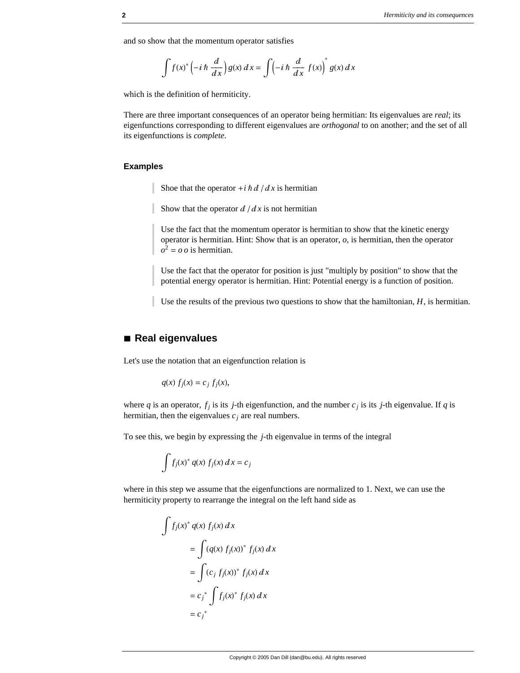and so show that the momentum operator satisfies

$$
\int f(x)^{*} \left(-i\hbar \frac{d}{dx}\right) g(x) dx = \int \left(-i\hbar \frac{d}{dx} f(x)\right)^{*} g(x) dx
$$

which is the definition of hermiticity.

There are three important consequences of an operator being hermitian: Its eigenvalues are *real*; its eigenfunctions corresponding to different eigenvalues are *orthogonal* to on another; and the set of all its eigenfunctions is *complete*.

#### **Examples**

Shoe that the operator  $+i \hbar d / dx$  is hermitian

Show that the operator  $d/dx$  is not hermitian

Use the fact that the momentum operator is hermitian to show that the kinetic energy operator is hermitian. Hint: Show that is an operator, *o*, is hermitian, then the operator  $o^2 = o o$  is hermitian.

Use the fact that the operator for position is just "multiply by position" to show that the potential energy operator is hermitian. Hint: Potential energy is a function of position.

Use the results of the previous two questions to show that the hamiltonian, *H*, is hermitian.

## **à Real eigenvalues**

Let's use the notation that an eigenfunction relation is

$$
q(x) f_j(x) = c_j f_j(x),
$$

where *q* is an operator,  $f_j$  is its *j*-th eigenfunction, and the number  $c_j$  is its *j*-th eigenvalue. If *q* is hermitian, then the eigenvalues  $c_j$  are real numbers.

To see this, we begin by expressing the *j*-th eigenvalue in terms of the integral

$$
\int f_j(x)^* q(x) f_j(x) dx = c_j
$$

where in this step we assume that the eigenfunctions are normalized to 1. Next, we can use the hermiticity property to rearrange the integral on the left hand side as

$$
\int f_j(x)^* q(x) f_j(x) dx
$$
  
= 
$$
\int (q(x) f_j(x))^* f_j(x) dx
$$
  
= 
$$
\int (c_j f_j(x))^* f_j(x) dx
$$
  
= 
$$
c_j^* \int f_j(x)^* f_j(x) dx
$$
  
= 
$$
c_j^*
$$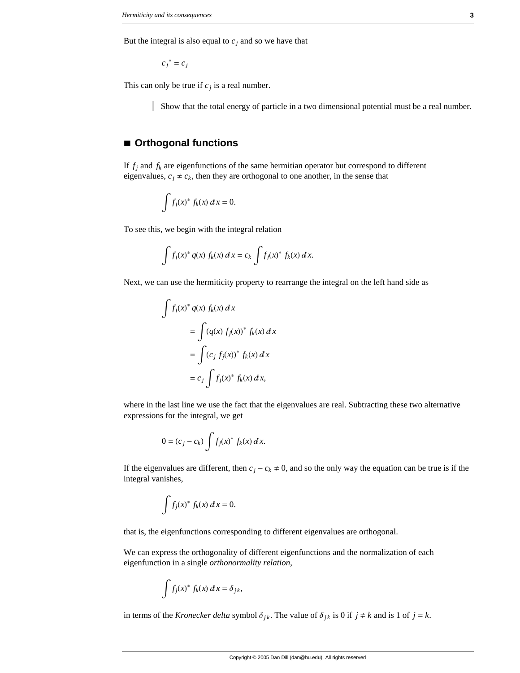But the integral is also equal to  $c_j$  and so we have that

 $c_j^* = c_j$ 

This can only be true if  $c_j$  is a real number.

Show that the total energy of particle in a two dimensional potential must be a real number.

#### **à Orthogonal functions**

If  $f_j$  and  $f_k$  are eigenfunctions of the same hermitian operator but correspond to different eigenvalues,  $c_j \neq c_k$ , then they are orthogonal to one another, in the sense that

$$
\int f_j(x)^* f_k(x) dx = 0.
$$

To see this, we begin with the integral relation

$$
\int f_j(x)^* q(x) f_k(x) dx = c_k \int f_j(x)^* f_k(x) dx.
$$

Next, we can use the hermiticity property to rearrange the integral on the left hand side as

$$
\int f_j(x)^* q(x) f_k(x) dx
$$
  
= 
$$
\int (q(x) f_j(x))^* f_k(x) dx
$$
  
= 
$$
\int (c_j f_j(x))^* f_k(x) dx
$$
  
= 
$$
c_j \int f_j(x)^* f_k(x) dx,
$$

where in the last line we use the fact that the eigenvalues are real. Subtracting these two alternative expressions for the integral, we get

$$
0 = (c_j - c_k) \int f_j(x)^* f_k(x) \, dx.
$$

If the eigenvalues are different, then  $c_j - c_k \neq 0$ , and so the only way the equation can be true is if the integral vanishes,

$$
\int f_j(x)^* f_k(x) dx = 0.
$$

that is, the eigenfunctions corresponding to different eigenvalues are orthogonal.

We can express the orthogonality of different eigenfunctions and the normalization of each eigenfunction in a single *orthonormality relation*,

$$
\int f_j(x)^* f_k(x) dx = \delta_{jk},
$$

in terms of the *Kronecker delta* symbol  $\delta_{jk}$ . The value of  $\delta_{jk}$  is 0 if  $j \neq k$  and is 1 of  $j = k$ .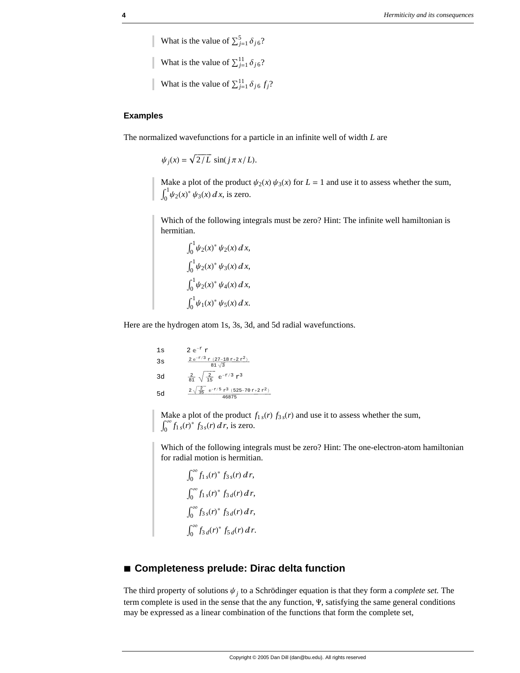What is the value of  $\sum_{j=1}^{5} \delta_{j6}$ ? What is the value of  $\sum_{j=1}^{11} \delta_{j6}$ ? What is the value of  $\sum_{j=1}^{11} \delta_{j6} f_j$ ?

#### **Examples**

The normalized wavefunctions for a particle in an infinite well of width *L* are

 $\psi_i(x) = \sqrt{2/L} \sin(i \pi x/L).$ 

Make a plot of the product  $\psi_2(x) \psi_3(x)$  for  $L = 1$  and use it to assess whether the sum,  $J<sub>0</sub>$  $\int_0^1 \psi_2(x)^* \psi_3(x) dx$ , is zero.

Which of the following integrals must be zero? Hint: The infinite well hamiltonian is hermitian.

$$
\int_0^1 \psi_2(x)^* \psi_2(x) dx,
$$
  

$$
\int_0^1 \psi_2(x)^* \psi_3(x) dx,
$$
  

$$
\int_0^1 \psi_2(x)^* \psi_4(x) dx,
$$
  

$$
\int_0^1 \psi_1(x)^* \psi_5(x) dx.
$$

Here are the hydrogen atom 1s, 3s, 3d, and 5d radial wavefunctions.

1s  
\n2 e<sup>-r</sup> r  
\n3s  
\n
$$
\frac{2 e^{-r/3} r (27-18 r+2 r^2)}{81 \sqrt{3}}
$$
\n3d  
\n
$$
\frac{2}{81} \sqrt{\frac{2}{15}} e^{-r/3} r^3
$$
\n5d  
\n
$$
\frac{2 \sqrt{\frac{2}{35}} e^{-r/5} r^3 (525-70 r+2 r^2)}{46875}
$$

Make a plot of the product  $f_{1s}(r) f_{3s}(r)$  and use it to assess whether the sum,  $\int_0^\infty f_{1s}(r)^* f_{3s}(r) dr$ , is zero.

Which of the following integrals must be zero? Hint: The one-electron-atom hamiltonian for radial motion is hermitian.

$$
\int_0^\infty f_{1s}(r)^* f_{3s}(r) dr,
$$
  

$$
\int_0^\infty f_{1s}(r)^* f_{3d}(r) dr,
$$
  

$$
\int_0^\infty f_{3s}(r)^* f_{3d}(r) dr,
$$
  

$$
\int_0^\infty f_{3d}(r)^* f_{5d}(r) dr.
$$

# **à Completeness prelude: Dirac delta function**

The third property of solutions  $\psi_j$  to a Schrödinger equation is that they form a *complete set*. The term complete is used in the sense that the any function, Y, satisfying the same general conditions may be expressed as a linear combination of the functions that form the complete set,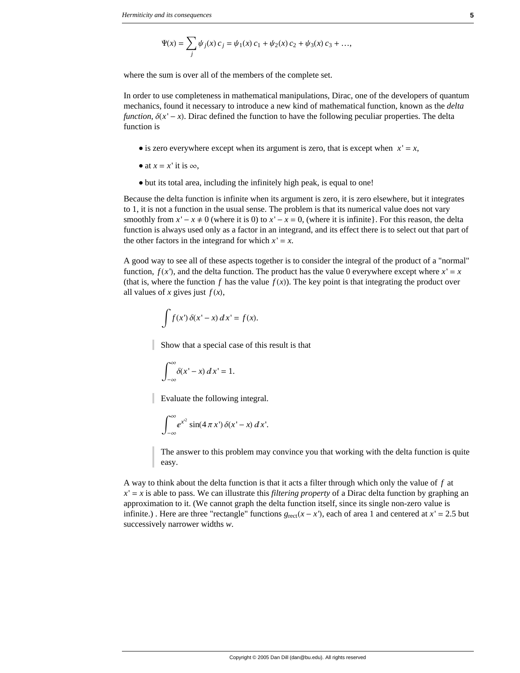$$
\Psi(x) = \sum_{j} \psi_j(x) \, c_j = \psi_1(x) \, c_1 + \psi_2(x) \, c_2 + \psi_3(x) \, c_3 + \dots,
$$

where the sum is over all of the members of the complete set.

In order to use completeness in mathematical manipulations, Dirac, one of the developers of quantum mechanics, found it necessary to introduce a new kind of mathematical function, known as the *delta function*,  $\delta(x'-x)$ . Dirac defined the function to have the following peculiar properties. The delta function is

- is zero everywhere except when its argument is zero, that is except when  $x' = x$ ,
- at  $x = x'$  it is  $\infty$ ,
- è but its total area, including the infinitely high peak, is equal to one!

Because the delta function is infinite when its argument is zero, it is zero elsewhere, but it integrates to 1, it is not a function in the usual sense. The problem is that its numerical value does not vary smoothly from  $x' - x \neq 0$  (where it is 0) to  $x' - x = 0$ , (where it is infinite). For this reason, the delta function is always used only as a factor in an integrand, and its effect there is to select out that part of the other factors in the integrand for which  $x' = x$ .

A good way to see all of these aspects together is to consider the integral of the product of a "normal" function,  $f(x')$ , and the delta function. The product has the value 0 everywhere except where  $x' = x$ (that is, where the function f has the value  $f(x)$ ). The key point is that integrating the product over all values of *x* gives just  $f(x)$ ,

$$
\int f(x') \, \delta(x'-x) \, dx' = f(x).
$$

Show that a special case of this result is that

$$
\int_{-\infty}^{\infty} \delta(x'-x) \, dx' = 1.
$$

Evaluate the following integral.

$$
\int_{-\infty}^{\infty} e^{x^2} \sin(4\,\pi\,x')\,\delta(x'-x)\,dx'.
$$

The answer to this problem may convince you that working with the delta function is quite easy.

A way to think about the delta function is that it acts a filter through which only the value of *f* at  $x' = x$  is able to pass. We can illustrate this *filtering property* of a Dirac delta function by graphing an approximation to it. (We cannot graph the delta function itself, since its single non-zero value is infinite.) . Here are three "rectangle" functions  $g_{\text{rect}}(x - x')$ , each of area 1 and centered at  $x' = 2.5$  but successively narrower widths *w*.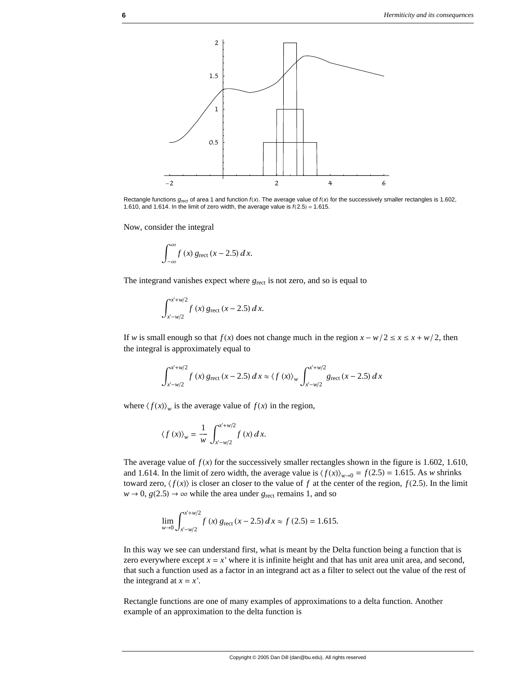

Rectangle functions  $g_{\text{rect}}$  of area 1 and function  $f(x)$ . The average value of  $f(x)$  for the successively smaller rectangles is 1.602, 1.610, and 1.614. In the limit of zero width, the average value is  $f(2.5) = 1.615$ .

Now, consider the integral

$$
\int_{-\infty}^{\infty} f(x) g_{\text{rect}} (x - 2.5) dx.
$$

The integrand vanishes expect where  $g_{\text{rect}}$  is not zero, and so is equal to

$$
\int_{x'-w/2}^{x'+w/2} f(x) g_{\text{rect}} (x-2.5) dx.
$$

If *w* is small enough so that  $f(x)$  does not change much in the region  $x - w/2 \le x \le x + w/2$ , then the integral is approximately equal to

$$
\int_{x-w/2}^{x+w/2} f(x) g_{\text{rect}} (x-2.5) dx \approx \langle f(x) \rangle_w \int_{x-w/2}^{x+w/2} g_{\text{rect}} (x-2.5) dx
$$

where  $\langle f(x) \rangle$ <sub>*w*</sub> is the average value of  $f(x)$  in the region,

$$
\langle f(x) \rangle_w = \frac{1}{w} \int_{x-w/2}^{x+w/2} f(x) dx.
$$

The average value of  $f(x)$  for the successively smaller rectangles shown in the figure is 1.602, 1.610, and 1.614. In the limit of zero width, the average value is  $\langle f(x) \rangle_{w\to 0} = f(2.5) = 1.615$ . As *w* shrinks toward zero,  $\langle f(x) \rangle$  is closer an closer to the value of *f* at the center of the region, *f* (2.5). In the limit  $w \to 0$ ,  $g(2.5) \to \infty$  while the area under *g*<sub>rect</sub> remains 1, and so

$$
\lim_{w \to 0} \int_{x-w/2}^{x+w/2} f(x) g_{\text{rect}} (x-2.5) dx \approx f(2.5) = 1.615.
$$

In this way we see can understand first, what is meant by the Delta function being a function that is zero everywhere except  $x = x'$  where it is infinite height and that has unit area unit area, and second, that such a function used as a factor in an integrand act as a filter to select out the value of the rest of the integrand at  $x = x'$ .

Rectangle functions are one of many examples of approximations to a delta function. Another example of an approximation to the delta function is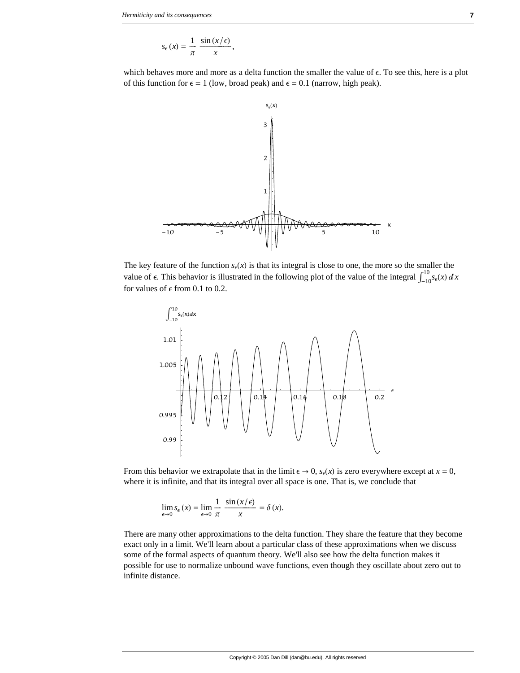$$
s_{\epsilon}(x) = \frac{1}{\pi} \frac{\sin(x/\epsilon)}{x},
$$

which behaves more and more as a delta function the smaller the value of  $\epsilon$ . To see this, here is a plot of this function for  $\epsilon = 1$  (low, broad peak) and  $\epsilon = 0.1$  (narrow, high peak).



The key feature of the function  $s_{\epsilon}(x)$  is that its integral is close to one, the more so the smaller the value of  $\epsilon$ . This behavior is illustrated in the following plot of the value of the integral  $\int_{-10}^{10} s_{\epsilon}(x) dx$ for values of  $\epsilon$  from 0.1 to 0.2.



From this behavior we extrapolate that in the limit  $\epsilon \to 0$ ,  $s_{\epsilon}(x)$  is zero everywhere except at  $x = 0$ , where it is infinite, and that its integral over all space is one. That is, we conclude that

$$
\lim_{\epsilon \to 0} s_{\epsilon}(x) = \lim_{\epsilon \to 0} \frac{1}{\pi} \frac{\sin(x/\epsilon)}{x} = \delta(x).
$$

There are many other approximations to the delta function. They share the feature that they become exact only in a limit. We'll learn about a particular class of these approximations when we discuss some of the formal aspects of quantum theory. We'll also see how the delta function makes it possible for use to normalize unbound wave functions, even though they oscillate about zero out to infinite distance.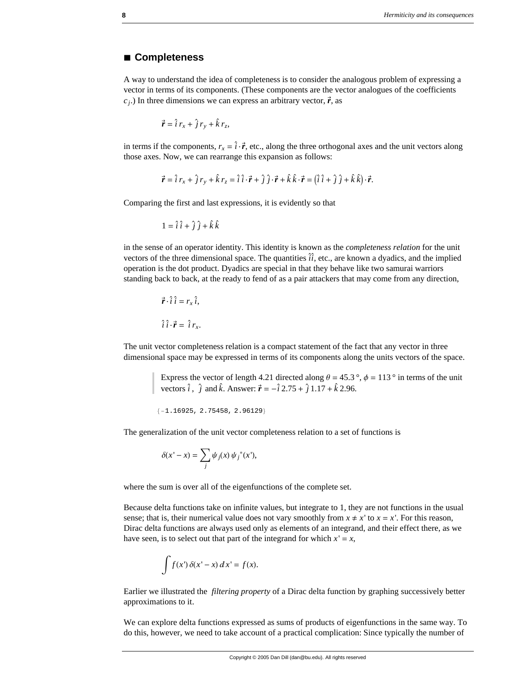#### **à Completeness**

A way to understand the idea of completeness is to consider the analogous problem of expressing a vector in terms of its components. (These components are the vector analogues of the coefficients  $c_j$ .) In three dimensions we can express an arbitrary vector,  $\vec{r}$ , as

$$
\vec{r} = \hat{i} r_x + \hat{j} r_y + \hat{k} r_z,
$$

in terms if the components,  $r_x = \hat{i} \cdot \vec{r}$ , etc., along the three orthogonal axes and the unit vectors along those axes. Now, we can rearrange this expansion as follows:

$$
\vec{r} = \hat{i} r_x + \hat{j} r_y + \hat{k} r_z = \hat{i} \hat{i} \cdot \vec{r} + \hat{j} \hat{j} \cdot \vec{r} + \hat{k} \hat{k} \cdot \vec{r} = (\hat{i} \hat{i} + \hat{j} \hat{j} + \hat{k} \hat{k}) \cdot \vec{r}.
$$

Comparing the first and last expressions, it is evidently so that

$$
1 = \hat{i}\,\hat{i} + \hat{j}\,\hat{j} + \hat{k}\,\hat{k}
$$

in the sense of an operator identity. This identity is known as the *completeness relation* for the unit wectors of the three dimensional space. The quantities  $\hat{i}$ , etc., are known a dyadics, and the implied vectors of the three dimensional space. The quantities  $\hat{i}$ , etc., are known a dyadics, and the implied operation is the dot product. Dyadics are special in that they behave like two samurai warriors standing back to back, at the ready to fend of as a pair attackers that may come from any direction,

$$
\vec{r} \cdot \hat{i} \hat{i} = r_x \hat{i},
$$

$$
\hat{i} \hat{i} \cdot \vec{r} = \hat{i} r_x.
$$

The unit vector completeness relation is a compact statement of the fact that any vector in three dimensional space may be expressed in terms of its components along the units vectors of the space.

> Express the vector of length 4.21 directed along  $\theta = 45.3^{\circ}$ ,  $\phi = 113^{\circ}$  in terms of the unit vectors  $\hat{i}$ ,  $\hat{j}$  and  $\hat{k}$ . Answer:  $\vec{r} = -\hat{i} \cdot 2.75 + \hat{j} \cdot 1.17 + \hat{k} \cdot 2.96$ .

8−1.16925, 2.75458, 2.96129<

The generalization of the unit vector completeness relation to a set of functions is

$$
\delta(x'-x) = \sum_j \psi_j(x) \psi_j^*(x'),
$$

where the sum is over all of the eigenfunctions of the complete set.

Because delta functions take on infinite values, but integrate to 1, they are not functions in the usual sense; that is, their numerical value does not vary smoothly from  $x \neq x'$  to  $x = x'$ . For this reason, Dirac delta functions are always used only as elements of an integrand, and their effect there, as we have seen, is to select out that part of the integrand for which  $x' = x$ ,

$$
\int f(x') \, \delta(x'-x) \, dx' = f(x).
$$

Earlier we illustrated the *filtering property* of a Dirac delta function by graphing successively better approximations to it.

We can explore delta functions expressed as sums of products of eigenfunctions in the same way. To do this, however, we need to take account of a practical complication: Since typically the number of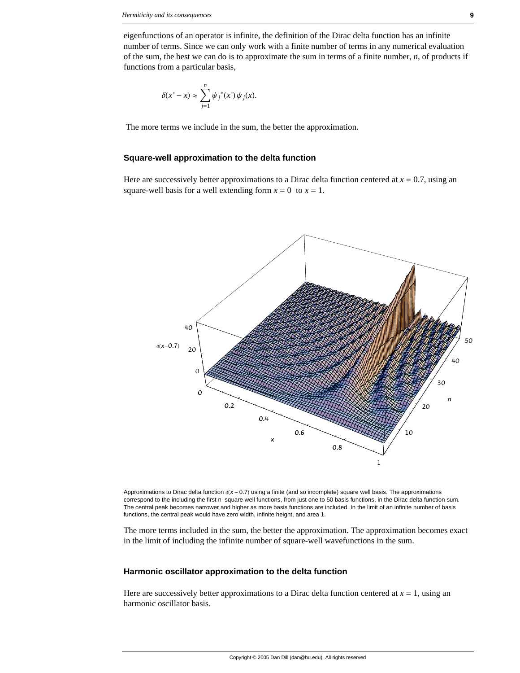eigenfunctions of an operator is infinite, the definition of the Dirac delta function has an infinite number of terms. Since we can only work with a finite number of terms in any numerical evaluation of the sum, the best we can do is to approximate the sum in terms of a finite number, *n*, of products if functions from a particular basis,

$$
\delta(x'-x) \approx \sum_{j=1}^n \psi_j^*(x') \psi_j(x).
$$

The more terms we include in the sum, the better the approximation.

#### **Square-well approximation to the delta function**

Here are successively better approximations to a Dirac delta function centered at  $x = 0.7$ , using an square-well basis for a well extending form  $x = 0$  to  $x = 1$ .



Approximations to Dirac delta function  $\delta(X - 0.7)$  using a finite (and so incomplete) square well basis. The approximations correspond to the including the first n square well functions, from just one to 50 basis functions, in the Dirac delta function sum. The central peak becomes narrower and higher as more basis functions are included. In the limit of an infinite number of basis functions, the central peak would have zero width, infinite height, and area 1.

The more terms included in the sum, the better the approximation. The approximation becomes exact in the limit of including the infinite number of square-well wavefunctions in the sum.

#### **Harmonic oscillator approximation to the delta function**

Here are successively better approximations to a Dirac delta function centered at  $x = 1$ , using an harmonic oscillator basis.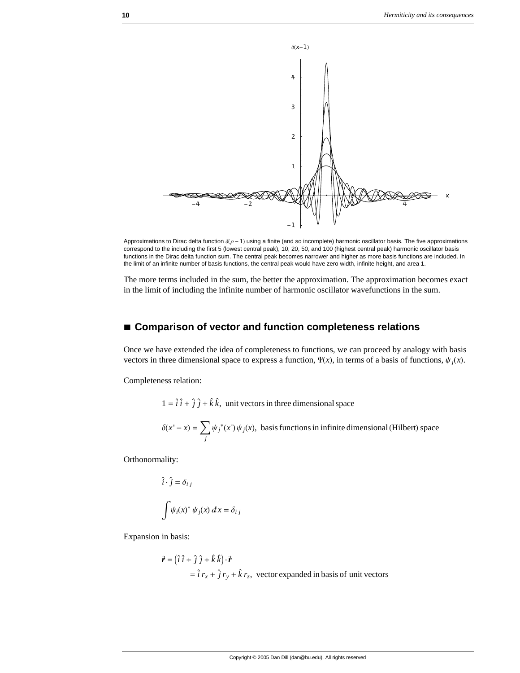

Approximations to Dirac delta function  $\delta(\rho - 1)$  using a finite (and so incomplete) harmonic oscillator basis. The five approximations correspond to the including the first 5 (lowest central peak), 10, 20, 50, and 100 (highest central peak) harmonic oscillator basis functions in the Dirac delta function sum. The central peak becomes narrower and higher as more basis functions are included. In the limit of an infinite number of basis functions, the central peak would have zero width, infinite height, and area 1.

The more terms included in the sum, the better the approximation. The approximation becomes exact in the limit of including the infinite number of harmonic oscillator wavefunctions in the sum.

## **à Comparison of vector and function completeness relations**

Once we have extended the idea of completeness to functions, we can proceed by analogy with basis vectors in three dimensional space to express a function,  $\Psi(x)$ , in terms of a basis of functions,  $\psi_i(x)$ .

Completeness relation:

 $1 = \hat{i} \hat{i} + \hat{j} \hat{j} + \hat{k} \hat{k}$ , unit vectors in three dimensional space

$$
\delta(x'-x) = \sum_{j} \psi_j^*(x') \psi_j(x)
$$
, basis functions in infinite dimensional (Hilbert) space

Orthonormality:

$$
\hat{i} \cdot \hat{j} = \delta_{i j}
$$

$$
\int \psi_i(x)^* \psi_j(x) dx =
$$

 $\delta_{i,i}$ 

Expansion in basis:

$$
\vec{r} = (\hat{i} \hat{i} + \hat{j} \hat{j} + \hat{k} \hat{k}) \cdot \vec{r}
$$
  
=  $\hat{i} r_x + \hat{j} r_y + \hat{k} r_z$ , vector expanded in basis of unit vectors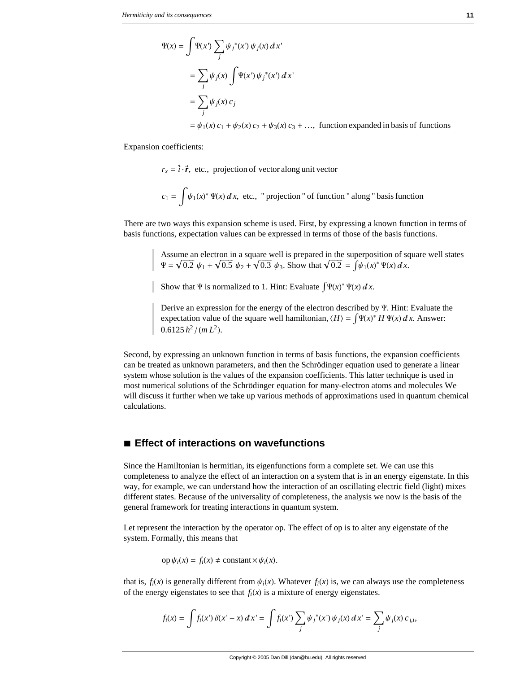$$
\Psi(x) = \int \Psi(x') \sum_{j} \psi_j^*(x') \psi_j(x) dx'
$$
  
= 
$$
\sum_{j} \psi_j(x) \int \Psi(x') \psi_j^*(x') dx'
$$
  
= 
$$
\sum_{j} \psi_j(x) c_j
$$
  
= 
$$
\psi_1(x) c_1 + \psi_2(x) c_2 + \psi_3(x) c_3 + \dots, \text{ function expanded in basis of functions}
$$

Expansion coefficients:

 $r_x = \hat{i} \cdot \vec{r}$ , etc., projection of vector along unit vector

$$
c_1 = \int \psi_1(x)^* \Psi(x) dx
$$
, etc., "projection" of function " along " basis function

There are two ways this expansion scheme is used. First, by expressing a known function in terms of basis functions, expectation values can be expressed in terms of those of the basis functions.

> Assume an electron in a square well is prepared in the superposition of square well states  $\Psi = \sqrt{0.2} \psi_1 + \sqrt{0.5} \psi_2 + \sqrt{0.3} \psi_3$ . Show that  $\sqrt{0.2} = \int \psi_1(x)^* \Psi(x) dx$ .

Show that  $\Psi$  is normalized to 1. Hint: Evaluate  $\int \Psi(x)^* \Psi(x) dx$ .

Derive an expression for the energy of the electron described by  $\Psi$ . Hint: Evaluate the expectation value of the square well hamiltonian,  $\langle H \rangle = \int \Psi(x)^* H \Psi(x) dx$ . Answer:  $0.6125 h<sup>2</sup>/(m L<sup>2</sup>).$ 

Second, by expressing an unknown function in terms of basis functions, the expansion coefficients can be treated as unknown parameters, and then the Schrödinger equation used to generate a linear system whose solution is the values of the expansion coefficients. This latter technique is used in most numerical solutions of the Schrödinger equation for many-electron atoms and molecules We will discuss it further when we take up various methods of approximations used in quantum chemical calculations.

## **à Effect of interactions on wavefunctions**

Since the Hamiltonian is hermitian, its eigenfunctions form a complete set. We can use this completeness to analyze the effect of an interaction on a system that is in an energy eigenstate. In this way, for example, we can understand how the interaction of an oscillating electric field (light) mixes different states. Because of the universality of completeness, the analysis we now is the basis of the general framework for treating interactions in quantum system.

Let represent the interaction by the operator op. The effect of op is to alter any eigenstate of the system. Formally, this means that

$$
op \psi_i(x) = f_i(x) \neq constant \times \psi_i(x).
$$

that is,  $f_i(x)$  is generally different from  $\psi_i(x)$ . Whatever  $f_i(x)$  is, we can always use the completeness of the energy eigenstates to see that  $f_i(x)$  is a mixture of energy eigenstates.

$$
f_i(x) = \int f_i(x') \, \delta(x' - x) \, dx' = \int f_i(x') \sum_j \psi_j^*(x') \, \psi_j(x) \, dx' = \sum_j \psi_j(x) \, c_{j,i},
$$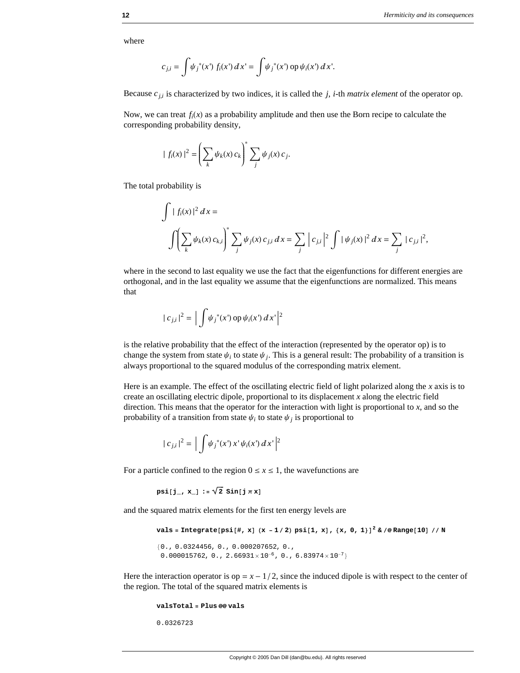where

$$
c_{j,i} = \int \psi_j^*(x^*) f_i(x^*) dx' = \int \psi_j^*(x^*) \, \mathrm{op}\, \psi_i(x^*) dx'.
$$

Because  $c_{j,i}$  is characterized by two indices, it is called the  $j$ ,  $i$ -th *matrix element* of the operator op.

Now, we can treat  $f_i(x)$  as a probability amplitude and then use the Born recipe to calculate the corresponding probability density,

$$
|f_i(x)|^2 = \left(\sum_k \psi_k(x) c_k\right)^* \sum_j \psi_j(x) c_j.
$$

The total probability is

$$
\int |f_i(x)|^2 dx =
$$
  

$$
\int \left( \sum_k \psi_k(x) c_{k,i} \right)^* \sum_j \psi_j(x) c_{j,i} dx = \sum_j |c_{j,i}|^2 \int |\psi_j(x)|^2 dx = \sum_j |c_{j,i}|^2,
$$

where in the second to last equality we use the fact that the eigenfunctions for different energies are orthogonal, and in the last equality we assume that the eigenfunctions are normalized. This means that

$$
|c_{j,i}|^2 = \left| \int \psi_j^*(x') \operatorname{op} \psi_i(x') dx' \right|^2
$$

is the relative probability that the effect of the interaction (represented by the operator op) is to change the system from state  $\psi_i$  to state  $\psi_j$ . This is a general result: The probability of a transition is always proportional to the squared modulus of the corresponding matrix element.

Here is an example. The effect of the oscillating electric field of light polarized along the *x* axis is to create an oscillating electric dipole, proportional to its displacement *x* along the electric field direction. This means that the operator for the interaction with light is proportional to *x*, and so the probability of a transition from state  $\psi_i$  to state  $\psi_j$  is proportional to

$$
|c_{j,i}|^2 = \left| \int \psi_j^*(x') \, x' \, \psi_i(x') \, dx' \right|^2
$$

For a particle confined to the region  $0 \le x \le 1$ , the wavefunctions are

```
psi[j, x] := \sqrt{2} \sin[j \pi x]
```
and the squared matrix elements for the first ten energy levels are

vals = Integrate[psi[#, x] (x - 1/2) psi[1, x], {x, 0, 1}]<sup>2</sup> & /@ Range[10] // N

```
{0.0324456, 0.000207652, 0.0}0.000015762, 0., 2.66931×10<sup>-6</sup>, 0., 6.83974×10<sup>-7</sup>}
```
Here the interaction operator is op  $= x - 1/2$ , since the induced dipole is with respect to the center of the region. The total of the squared matrix elements is

```
valsTotal = Plus @@ vals
```
0.0326723